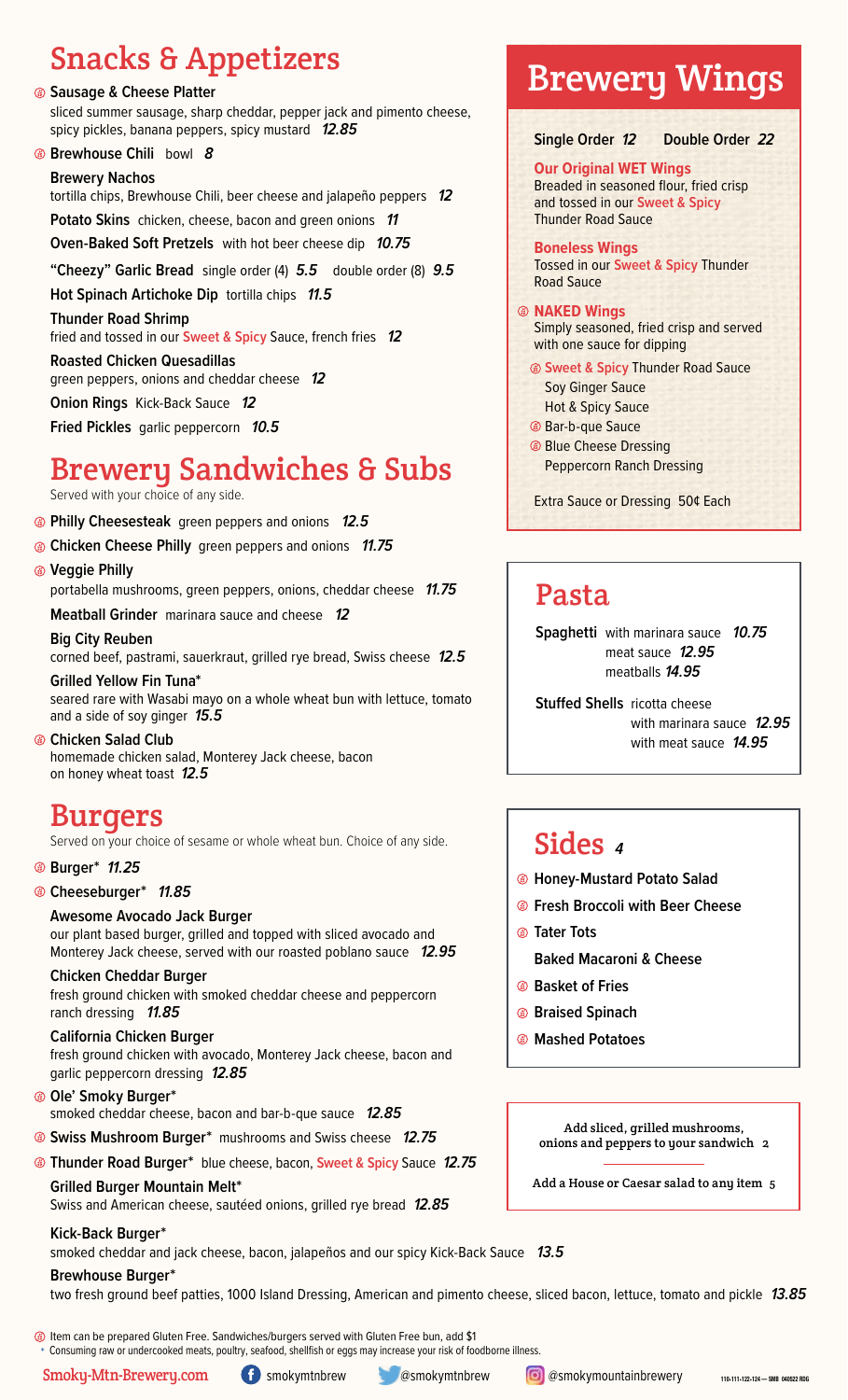# Snacks & Appetizers

### **Sausage & Cheese Platter**

sliced summer sausage, sharp cheddar, pepper jack and pimento cheese, spicy pickles, banana peppers, spicy mustard *12.85*

## **Brewhouse Chili** bowl *8*

## **Brewery Nachos**

tortilla chips, Brewhouse Chili, beer cheese and jalapeño peppers *12*

**Potato Skins** chicken, cheese, bacon and green onions *11*

**Oven-Baked Soft Pretzels** with hot beer cheese dip *10.75*

**"Cheezy" Garlic Bread** single order (4) *5.5*double order (8) *9.5*

**Hot Spinach Artichoke Dip** tortilla chips *11.5*

**Thunder Road Shrimp** 

fried and tossed in our **Sweet & Spicy** Sauce, french fries *12*

**Roasted Chicken Quesadillas** green peppers, onions and cheddar cheese *12*

**Onion Rings** Kick-Back Sauce *12*

**Fried Pickles** garlic peppercorn*10.5*

# Brewery Sandwiches & Subs

Served with your choice of any side.

- **Philly Cheesesteak** green peppers and onions *12.5*
- **Chicken Cheese Philly** green peppers and onions *11.75*
- **Veggie Philly**

portabella mushrooms, green peppers, onions, cheddar cheese *11.75*

**Meatball Grinder** marinara sauce and cheese *12*

**Big City Reuben** corned beef, pastrami, sauerkraut, grilled rye bread, Swiss cheese *12.5*

**Grilled Yellow Fin Tuna\*** seared rare with Wasabi mayo on a whole wheat bun with lettuce, tomato and a side of soy ginger *15.5*

**Chicken Salad Club** homemade chicken salad, Monterey Jack cheese, bacon on honey wheat toast *12.5*

# Burgers

Served on your choice of sesame or whole wheat bun. Choice of any side.

## **Burger\*** *11.25*

## **Cheeseburger\*** *11.85*

## **Awesome Avocado Jack Burger**

our plant based burger, grilled and topped with sliced avocado and Monterey Jack cheese, served with our roasted poblano sauce *12.95*

## **Chicken Cheddar Burger**

fresh ground chicken with smoked cheddar cheese and peppercorn ranch dressing *11.85*

## **California Chicken Burger**

fresh ground chicken with avocado, Monterey Jack cheese, bacon and garlic peppercorn dressing *12.85*

**Ole' Smoky Burger\***  smoked cheddar cheese, bacon and bar-b-que sauce *12.85* 

- **Swiss Mushroom Burger\*** mushrooms and Swiss cheese *12.75*
- **Thunder Road Burger\*** blue cheese, bacon, **Sweet & Spicy** Sauce *12.75*

**Grilled Burger Mountain Melt\***  Swiss and American cheese, sautéed onions, grilled rye bread *12.85*

# **Kick-Back Burger\***

smoked cheddar and jack cheese, bacon, jalapeños and our spicy Kick-Back Sauce *13.5*

# **Brewhouse Burger\***

two fresh ground beef patties, 1000 Island Dressing, American and pimento cheese, sliced bacon, lettuce, tomato and pickle *13.85*

# Brewery Wings

**Single Order** *12* **Double Order** *22*

## **Our Original WET Wings**

Breaded in seasoned flour, fried crisp and tossed in our **Sweet & Spicy** Thunder Road Sauce

**Boneless Wings** Tossed in our **Sweet & Spicy** Thunder Road Sauce

## **NAKED Wings**

Simply seasoned, fried crisp and served with one sauce for dipping

 **Sweet & Spicy** Thunder Road Sauce Soy Ginger Sauce

- Hot & Spicy Sauce
- Bar-b-que Sauce
- **Blue Cheese Dressing** Peppercorn Ranch Dressing

Extra Sauce or Dressing 50¢ Each

# Pasta

**Spaghetti** with marinara sauce *10.75* meat sauce *12.95* meatballs *14.95*

**Stuffed Shells** ricotta cheese with marinara sauce *12.95* with meat sauce *14.95*

# Sides *<sup>4</sup>*

- **Honey-Mustard Potato Salad**
- **Fresh Broccoli with Beer Cheese**
- **Tater Tots**
- **Baked Macaroni & Cheese**
- **Basket of Fries**
- **Braised Spinach**
- **Mashed Potatoes**

Add sliced, grilled mushrooms, onions and peppers to your sandwich 2

Add a House or Caesar salad to any item 5

Item can be prepared Gluten Free. Sandwiches/burgers served with Gluten Free bun, add \$1

Consuming raw or undercooked meats, poultry, seafood, shellfish or eggs may increase your risk of foodborne illness.